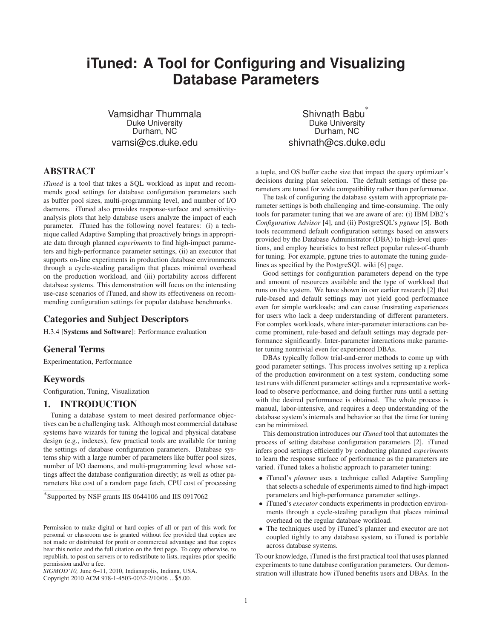# **iTuned: A Tool for Configuring and Visualizing Database Parameters**

Vamsidhar Thummala Duke University Durham, NC vamsi@cs.duke.edu

# **ABSTRACT**

*iTuned* is a tool that takes a SQL workload as input and recommends good settings for database configuration parameters such as buffer pool sizes, multi-programming level, and number of I/O daemons. iTuned also provides response-surface and sensitivityanalysis plots that help database users analyze the impact of each parameter. iTuned has the following novel features: (i) a technique called Adaptive Sampling that proactively brings in appropriate data through planned *experiments* to find high-impact parameters and high-performance parameter settings, (ii) an executor that supports on-line experiments in production database environments through a cycle-stealing paradigm that places minimal overhead on the production workload, and (iii) portability across different database systems. This demonstration will focus on the interesting use-case scenarios of iTuned, and show its effectiveness on recommending configuration settings for popular database benchmarks.

# Categories and Subject Descriptors

H.3.4 [Systems and Software]: Performance evaluation

#### General Terms

Experimentation, Performance

## Keywords

Configuration, Tuning, Visualization

# 1. INTRODUCTION

Tuning a database system to meet desired performance objectives can be a challenging task. Although most commercial database systems have wizards for tuning the logical and physical database design (e.g., indexes), few practical tools are available for tuning the settings of database configuration parameters. Database systems ship with a large number of parameters like buffer pool sizes, number of I/O daemons, and multi-programming level whose settings affect the database configuration directly; as well as other parameters like cost of a random page fetch, CPU cost of processing

Copyright 2010 ACM 978-1-4503-0032-2/10/06 ...\$5.00.

Shivnath Babu ∗ Duke University Durham, NC shivnath@cs.duke.edu

a tuple, and OS buffer cache size that impact the query optimizer's decisions during plan selection. The default settings of these parameters are tuned for wide compatibility rather than performance.

The task of configuring the database system with appropriate parameter settings is both challenging and time-consuming. The only tools for parameter tuning that we are aware of are: (i) IBM DB2's *Configuration Advisor* [4], and (ii) PostgreSQL's *pgtune* [5]. Both tools recommend default configuration settings based on answers provided by the Database Administrator (DBA) to high-level questions, and employ heuristics to best reflect popular rules-of-thumb for tuning. For example, pgtune tries to automate the tuning guidelines as specified by the PostgreSQL wiki [6] page.

Good settings for configuration parameters depend on the type and amount of resources available and the type of workload that runs on the system. We have shown in our earlier research [2] that rule-based and default settings may not yield good performance even for simple workloads; and can cause frustrating experiences for users who lack a deep understanding of different parameters. For complex workloads, where inter-parameter interactions can become prominent, rule-based and default settings may degrade performance significantly. Inter-parameter interactions make parameter tuning nontrivial even for experienced DBAs.

DBAs typically follow trial-and-error methods to come up with good parameter settings. This process involves setting up a replica of the production environment on a test system, conducting some test runs with different parameter settings and a representative workload to observe performance, and doing further runs until a setting with the desired performance is obtained. The whole process is manual, labor-intensive, and requires a deep understanding of the database system's internals and behavior so that the time for tuning can be minimized.

This demonstration introduces our *iTuned* tool that automates the process of setting database configuration parameters [2]. iTuned infers good settings efficiently by conducting planned *experiments* to learn the response surface of performance as the parameters are varied. iTuned takes a holistic approach to parameter tuning:

- iTuned's *planner* uses a technique called Adaptive Sampling that selects a schedule of experiments aimed to find high-impact parameters and high-performance parameter settings.
- iTuned's *executor* conducts experiments in production environments through a cycle-stealing paradigm that places minimal overhead on the regular database workload.
- The techniques used by iTuned's planner and executor are not coupled tightly to any database system, so iTuned is portable across database systems.

To our knowledge, iTuned is the first practical tool that uses planned experiments to tune database configuration parameters. Our demonstration will illustrate how iTuned benefits users and DBAs. In the

<sup>∗</sup> Supported by NSF grants IIS 0644106 and IIS 0917062

Permission to make digital or hard copies of all or part of this work for personal or classroom use is granted without fee provided that copies are not made or distributed for profit or commercial advantage and that copies bear this notice and the full citation on the first page. To copy otherwise, to republish, to post on servers or to redistribute to lists, requires prior specific permission and/or a fee.

*SIGMOD'10,* June 6–11, 2010, Indianapolis, Indiana, USA.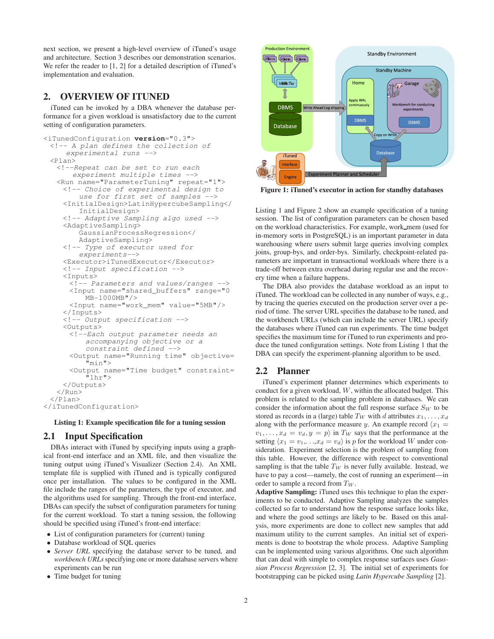next section, we present a high-level overview of iTuned's usage and architecture. Section 3 describes our demonstration scenarios. We refer the reader to [1, 2] for a detailed description of iTuned's implementation and evaluation.

# 2. OVERVIEW OF ITUNED

iTuned can be invoked by a DBA whenever the database performance for a given workload is unsatisfactory due to the current setting of configuration parameters.

```
<iTunedConfiguration version="0.3">
 <!-- A plan defines the collection of
     experimental runs -->
 <Plan><!--Repeat can be set to run each
       experiment multiple times -->
   <Run name="ParameterTuning" repeat="1">
    <!-- Choice of experimental design to
        use for first set of samples -->
    <InitialDesign>LatinHypercubeSampling</
        InitialDesign>
    <!-- Adaptive Sampling algo used -->
    <AdaptiveSampling>
        GaussianProcessRegression</
        AdaptiveSampling>
    <!-- Type of executor used for
        experiments-->
    <Executor>iTunedExecutor</Executor>
    <!-- Input specification -->
    <Inputs>
      <!-- Parameters and values/ranges -->
      <Input name="shared_buffers" range="0
          MB-1000MB"/>
      <Input name="work_mem" value="5MB"/>
    </Inputs>
    <!-- Output specification -->
    <Outputs>
      <!--Each output parameter needs an
          accompanying objective or a
          constraint defined -->
      <Output name="Running time" objective=
          "min">
      <Output name="Time budget" constraint=
          \frac{1}{\pi}lhr">
    </Outputs>
   </Run>
 \langle/Plan>
</iTunedConfiguration>
```
#### Listing 1: Example specification file for a tuning session

#### 2.1 Input Specification

DBAs interact with iTuned by specifying inputs using a graphical front-end interface and an XML file, and then visualize the tuning output using iTuned's Visualizer (Section 2.4). An XML template file is supplied with iTuned and is typically configured once per installation. The values to be configured in the XML file include the ranges of the parameters, the type of executor, and the algorithms used for sampling. Through the front-end interface, DBAs can specify the subset of configuration parameters for tuning for the current workload. To start a tuning session, the following should be specified using iTuned's front-end interface:

- List of configuration parameters for (current) tuning
- Database workload of SQL queries
- *Server URL* specifying the database server to be tuned, and *workbench URLs*specifying one or more database servers where experiments can be run
- Time budget for tuning



Figure 1: iTuned's executor in action for standby databases

Listing 1 and Figure 2 show an example specification of a tuning session. The list of configuration parameters can be chosen based on the workload characteristics. For example, work mem (used for in-memory sorts in PostgreSQL) is an important parameter in data warehousing where users submit large queries involving complex joins, group-bys, and order-bys. Similarly, checkpoint-related parameters are important in transactional workloads where there is a trade-off between extra overhead during regular use and the recovery time when a failure happens.

The DBA also provides the database workload as an input to iTuned. The workload can be collected in any number of ways, e.g., by tracing the queries executed on the production server over a period of time. The server URL specifies the database to be tuned, and the workbench URLs (which can include the server URL) specify the databases where iTuned can run experiments. The time budget specifies the maximum time for iTuned to run experiments and produce the tuned configuration settings. Note from Listing 1 that the DBA can specify the experiment-planning algorithm to be used.

#### 2.2 Planner

iTuned's experiment planner determines which experiments to conduct for a given workload, W, within the allocated budget. This problem is related to the sampling problem in databases. We can consider the information about the full response surface  $S_W$  to be stored as records in a (large) table  $T_W$  with d attributes  $x_1, \ldots, x_d$ along with the performance measure y. An example record  $\langle x_1 \rangle$  $v_1, \ldots, x_d = v_d, y = p$  in  $T_W$  says that the performance at the setting  $\langle x_1 = v_1, \ldots, x_d = v_d \rangle$  is p for the workload W under consideration. Experiment selection is the problem of sampling from this table. However, the difference with respect to conventional sampling is that the table  $T_W$  is never fully available. Instead, we have to pay a cost—namely, the cost of running an experiment—in order to sample a record from  $T_W$ .

Adaptive Sampling: iTuned uses this technique to plan the experiments to be conducted. Adaptive Sampling analyzes the samples collected so far to understand how the response surface looks like, and where the good settings are likely to be. Based on this analysis, more experiments are done to collect new samples that add maximum utility to the current samples. An initial set of experiments is done to bootstrap the whole process. Adaptive Sampling can be implemented using various algorithms. One such algorithm that can deal with simple to complex response surfaces uses *Gaussian Process Regression* [2, 3]. The initial set of experiments for bootstrapping can be picked using *Latin Hypercube Sampling* [2].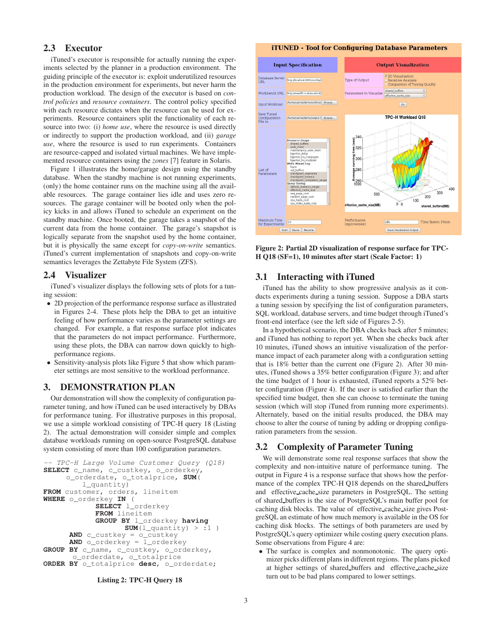# 2.3 Executor

iTuned's executor is responsible for actually running the experiments selected by the planner in a production environment. The guiding principle of the executor is: exploit underutilized resources in the production environment for experiments, but never harm the production workload. The design of the executor is based on *control policies* and *resource containers*. The control policy specified with each resource dictates when the resource can be used for experiments. Resource containers split the functionality of each resource into two: (i) *home use*, where the resource is used directly or indirectly to support the production workload, and (ii) *garage use*, where the resource is used to run experiments. Containers are resource-capped and isolated virtual machines. We have implemented resource containers using the *zones* [7] feature in Solaris.

Figure 1 illustrates the home/garage design using the standby database. When the standby machine is not running experiments, (only) the home container runs on the machine using all the available resources. The garage container lies idle and uses zero resources. The garage container will be booted only when the policy kicks in and allows iTuned to schedule an experiment on the standby machine. Once booted, the garage takes a snapshot of the current data from the home container. The garage's snapshot is logically separate from the snapshot used by the home container, but it is physically the same except for *copy-on-write* semantics. iTuned's current implementation of snapshots and copy-on-write semantics leverages the Zettabyte File System (ZFS).

## 2.4 Visualizer

iTuned's visualizer displays the following sets of plots for a tuning session:

- 2D projection of the performance response surface as illustrated in Figures 2-4. These plots help the DBA to get an intuitive feeling of how performance varies as the parameter settings are changed. For example, a flat response surface plot indicates that the parameters do not impact performance. Furthermore, using these plots, the DBA can narrow down quickly to highperformance regions.
- Sensitivity-analysis plots like Figure 5 that show which parameter settings are most sensitive to the workload performance.

## 3. DEMONSTRATION PLAN

Our demonstration will show the complexity of configuration parameter tuning, and how iTuned can be used interactively by DBAs for performance tuning. For illustrative purposes in this proposal, we use a simple workload consisting of TPC-H query 18 (Listing 2). The actual demonstration will consider simple and complex database workloads running on open-source PostgreSQL database system consisting of more than 100 configuration parameters.

```
-- TPC-H Large Volume Customer Query (Q18)
SELECT c_name, c_custkey, o_orderkey,
     o_orderdate, o_totalprice, SUM(
         l_quantity)
FROM customer, orders, lineitem
WHERE o_orderkey IN (
            SELECT l_orderkey
            FROM lineitem
            GROUP BY l_orderkey having
                   SUM(1_quantity) > :1)AND c_custkey = o_custkey
      AND o_orderkey = l_orderkey
GROUP BY c_name, c_custkey, o_orderkey,
      o_orderdate, o_totalprice
ORDER BY o_totalprice desc, o_orderdate;
```
#### Listing 2: TPC-H Query 18

#### **iTUNED - Tool for Configuring Database Parameters**



Figure 2: Partial 2D visualization of response surface for TPC-H Q18 (SF=1), 10 minutes after start (Scale Factor: 1)

## 3.1 Interacting with iTuned

iTuned has the ability to show progressive analysis as it conducts experiments during a tuning session. Suppose a DBA starts a tuning session by specifying the list of configuration parameters, SQL workload, database servers, and time budget through iTuned's front-end interface (see the left side of Figures 2-5).

In a hypothetical scenario, the DBA checks back after 5 minutes; and iTuned has nothing to report yet. When she checks back after 10 minutes, iTuned shows an intuitive visualization of the performance impact of each parameter along with a configuration setting that is 18% better than the current one (Figure 2). After 30 minutes, iTuned shows a 35% better configuration (Figure 3); and after the time budget of 1 hour is exhausted, iTuned reports a 52% better configuration (Figure 4). If the user is satisfied earlier than the specified time budget, then she can choose to terminate the tuning session (which will stop iTuned from running more experiments). Alternately, based on the initial results produced, the DBA may choose to alter the course of tuning by adding or dropping configuration parameters from the session.

## 3.2 Complexity of Parameter Tuning

We will demonstrate some real response surfaces that show the complexity and non-intuitive nature of performance tuning. The output in Figure 4 is a response surface that shows how the performance of the complex TPC-H Q18 depends on the shared buffers and effective cache size parameters in PostgreSQL. The setting of shared buffers is the size of PostgreSQL's main buffer pool for caching disk blocks. The value of effective cache size gives PostgreSQL an estimate of how much memory is available in the OS for caching disk blocks. The settings of both parameters are used by PostgreSQL's query optimizer while costing query execution plans. Some observations from Figure 4 are:

• The surface is complex and nonmonotonic. The query optimizer picks different plans in different regions. The plans picked at higher settings of shared buffers and effective cache size turn out to be bad plans compared to lower settings.